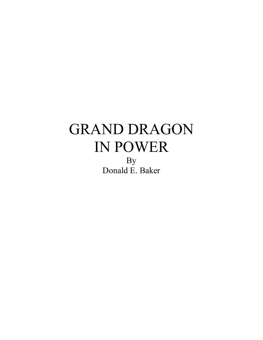By Donald E. Baker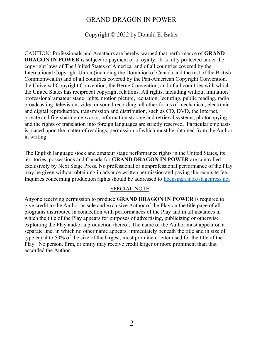Copyright © 2022 by Donald E. Baker

CAUTION: Professionals and Amateurs are hereby warned that performance of **GRAND DRAGON IN POWER** is subject to payment of a royalty. It is fully protected under the copyright laws of The United States of America, and of all countries covered by the International Copyright Union (including the Dominion of Canada and the rest of the British Commonwealth) and of all countries covered by the Pan-American Copyright Convention, the Universal Copyright Convention, the Berne Convention, and of all countries with which the United States has reciprocal copyright relations. All rights, including without limitation professional/amateur stage rights, motion picture, recitation, lecturing, public reading, radio broadcasting, television, video or sound recording, all other forms of mechanical, electronic and digital reproduction, transmission and distribution, such as CD, DVD, the Internet, private and file-sharing networks, information storage and retrieval systems, photocopying, and the rights of translation into foreign languages are strictly reserved. Particular emphasis is placed upon the matter of readings, permission of which must be obtained from the Author in writing.

The English language stock and amateur stage performance rights in the United States, its territories, possessions and Canada for **GRAND DRAGON IN POWER** are controlled exclusively by Next Stage Press. No professional or nonprofessional performance of the Play may be given without obtaining in advance written permission and paying the requisite fee. Inquiries concerning production rights should be addressed to licensing@nextstagepress.net

#### SPECIAL NOTE

Anyone receiving permission to produce **GRAND DRAGON IN POWER** is required to give credit to the Author as sole and exclusive Author of the Play on the title page of all programs distributed in connection with performances of the Play and in all instances in which the title of the Play appears for purposes of advertising, publicizing or otherwise exploiting the Play and/or a production thereof. The name of the Author must appear on a separate line, in which no other name appears, immediately beneath the title and in size of type equal to 50% of the size of the largest, most prominent letter used for the title of the Play. No person, firm, or entity may receive credit larger or more prominent than that accorded the Author.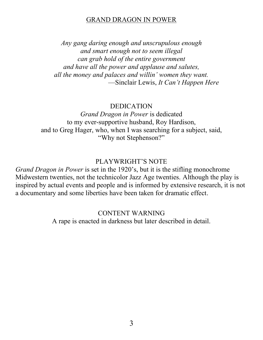*Any gang daring enough and unscrupulous enough and smart enough not to seem illegal can grab hold of the entire government and have all the power and applause and salutes, all the money and palaces and willin' women they want.* -Sinclair Lewis, *It Can't Happen Here* 

#### DEDICATION

*Grand Dragon in Power* is dedicated to my ever-supportive husband, Roy Hardison, and to Greg Hager, who, when I was searching for a subject, said, "Why not Stephenson?"

#### PLAYWRIGHT'S NOTE

*Grand Dragon in Power* is set in the 1920's, but it is the stifling monochrome Midwestern twenties, not the technicolor Jazz Age twenties. Although the play is inspired by actual events and people and is informed by extensive research, it is not a documentary and some liberties have been taken for dramatic effect.

> CONTENT WARNING A rape is enacted in darkness but later described in detail.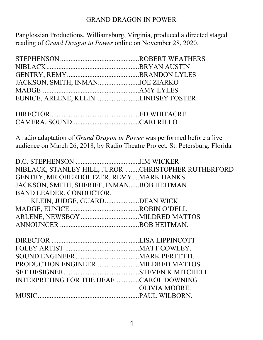Panglossian Productions, Williamsburg, Virginia, produced a directed staged reading of *Grand Dragon in Power* online on November 28, 2020.

| JACKSON, SMITH, INMANJOE ZIARKO      |  |
|--------------------------------------|--|
|                                      |  |
| EUNICE, ARLENE, KLEIN LINDSEY FOSTER |  |

A radio adaptation of *Grand Dragon in Power* was performed before a live audience on March 26, 2018, by Radio Theatre Project, St. Petersburg, Florida.

| NIBLACK, STANLEY HILL, JUROR CHRISTOPHER RUTHERFORD |               |
|-----------------------------------------------------|---------------|
| GENTRY, MR OBERHOLTZER, REMYMARK HANKS              |               |
| JACKSON, SMITH, SHERIFF, INMANBOB HEITMAN           |               |
| BAND LEADER, CONDUCTOR,                             |               |
| KLEIN, JUDGE, GUARD DEAN WICK                       |               |
|                                                     |               |
|                                                     |               |
|                                                     |               |
|                                                     |               |
|                                                     |               |
|                                                     |               |
|                                                     |               |
|                                                     |               |
|                                                     |               |
| INTERPRETING FOR THE DEAF CAROL DOWNING             |               |
|                                                     | OLIVIA MOORE. |
|                                                     |               |
|                                                     |               |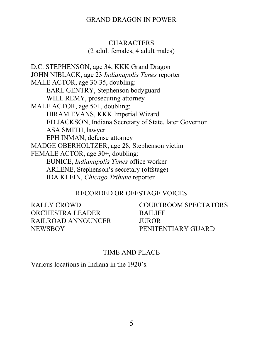#### **CHARACTERS**

(2 adult females, 4 adult males)

D.C. STEPHENSON, age 34, KKK Grand Dragon JOHN NIBLACK, age 23 *Indianapolis Times* reporter MALE ACTOR, age 30-35, doubling: EARL GENTRY, Stephenson bodyguard WILL REMY, prosecuting attorney MALE ACTOR, age 50+, doubling: HIRAM EVANS, KKK Imperial Wizard ED JACKSON, Indiana Secretary of State, later Governor ASA SMITH, lawyer EPH INMAN, defense attorney MADGE OBERHOLTZER, age 28, Stephenson victim FEMALE ACTOR, age 30+, doubling: EUNICE, *Indianapolis Times* office worker ARLENE, Stephenson's secretary (offstage) IDA KLEIN, *Chicago Tribune* reporter

#### RECORDED OR OFFSTAGE VOICES

RALLY CROWD ORCHESTRA LEADER RAILROAD ANNOUNCER NEWSBOY

COURTROOM SPECTATORS **BAILIFF** JUROR PENITENTIARY GUARD

#### TIME AND PLACE

Various locations in Indiana in the  $1920$ 's.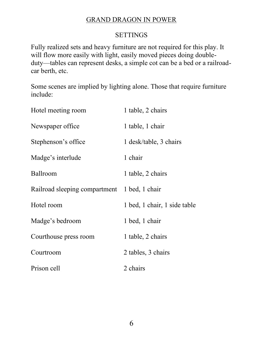# **SETTINGS**

Fully realized sets and heavy furniture are not required for this play. It will flow more easily with light, easily moved pieces doing doubleduty—tables can represent desks, a simple cot can be a bed or a railroadcar berth, etc.

Some scenes are implied by lighting alone. Those that require furniture include:

| Hotel meeting room            | 1 table, 2 chairs            |
|-------------------------------|------------------------------|
| Newspaper office              | 1 table, 1 chair             |
| Stephenson's office           | 1 desk/table, 3 chairs       |
| Madge's interlude             | 1 chair                      |
| Ballroom                      | 1 table, 2 chairs            |
| Railroad sleeping compartment | 1 bed, 1 chair               |
| Hotel room                    | 1 bed, 1 chair, 1 side table |
| Madge's bedroom               | 1 bed, 1 chair               |
| Courthouse press room         | 1 table, 2 chairs            |
| Courtroom                     | 2 tables, 3 chairs           |
| Prison cell                   | 2 chairs                     |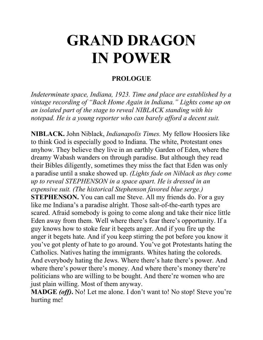#### **PROLOGUE**

*Indeterminate space, Indiana, 1923. Time and place are established by a Vintage recording of "Back Home Again in Indiana." Lights come up on an isolated part of the stage to reveal NIBLACK standing with his notepad. He is a young reporter who can barely afford a decent suit.*

**NIBLACK.** John Niblack, *Indianapolis Times.* My fellow Hoosiers like to think God is especially good to Indiana. The white, Protestant ones anyhow. They believe they live in an earthly Garden of Eden, where the dreamy Wabash wanders on through paradise. But although they read their Bibles diligently, sometimes they miss the fact that Eden was only a paradise until a snake showed up. *(Lights fade on Niblack as they come up to reveal STEPHENSON in a space apart. He is dressed in an expensive suit. (The historical Stephenson favored blue serge.)* **STEPHENSON.** You can call me Steve. All my friends do. For a guy like me Indiana's a paradise alright. Those salt-of-the-earth types are scared. Afraid somebody is going to come along and take their nice little Eden away from them. Well where there's fear there's opportunity. If a guy knows how to stoke fear it begets anger. And if you fire up the anger it begets hate. And if you keep stirring the pot before you know it you've got plenty of hate to go around. You've got Protestants hating the Catholics. Natives hating the immigrants. Whites hating the coloreds. And everybody hating the Jews. Where there's hate there's power. And where there's power there's money. And where there's money there're politicians who are willing to be bought. And there're women who are just plain willing. Most of them anyway.

**MADGE** *(off)***.** No! Let me alone. I don't want to! No stop! Steve you're hurting me!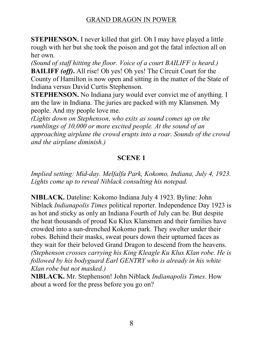**STEPHENSON.** I never killed that girl. Oh I may have played a little rough with her but she took the poison and got the fatal infection all on her own.

*(Sound of staff hitting the floor. Voice of a court BAILIFF is heard.)* **BAILIFF** *(off)***.** All rise! Oh yes! Oh yes! The Circuit Court for the County of Hamilton is now open and sitting in the matter of the State of Indiana versus David Curtis Stephenson.

**STEPHENSON.** No Indiana jury would ever convict me of anything. I am the law in Indiana. The juries are packed with my Klansmen. My people. And my people love me.

*(Lights down on Stephenson, who exits as sound comes up on the rumblings of 10,000 or more excited people. At the sound of an approaching airplane the crowd erupts into a roar. Sounds of the crowd and the airplane diminish.)*

# **SCENE 1**

*Implied setting: Mid-day. Melfalfa Park, Kokomo, Indiana, July 4, 1923. Lights come up to reveal Niblack consulting his notepad.*

**NIBLACK.** Dateline: Kokomo Indiana July 4 1923. Byline: John Niblack *Indianapolis Times* political reporter. Independence Day 1923 is as hot and sticky as only an Indiana Fourth of July can be. But despite the heat thousands of proud Ku Klux Klansmen and their families have crowded into a sun-drenched Kokomo park. They swelter under their robes. Behind their masks, sweat pours down their upturned faces as they wait for their beloved Grand Dragon to descend from the heavens. *(Stephenson crosses carrying his King Kleagle Ku Klux Klan robe. He is followed by his bodyguard Earl GENTRY who is already in his white Klan robe but not masked.)*

**NIBLACK.** Mr. Stephenson! John Niblack *Indianapolis Times*. How about a word for the press before you go on?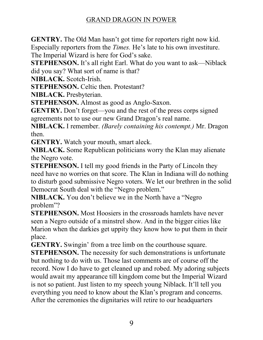**GENTRY.** The Old Man hasn't got time for reporters right now kid. Especially reporters from the *Times*. He's late to his own investiture. The Imperial Wizard is here for God's sake.

**STEPHENSON.** It's all right Earl. What do you want to ask—Niblack did you say? What sort of name is that?

**NIBLACK.** Scotch-Irish.

**STEPHENSON.** Celtic then. Protestant?

**NIBLACK.** Presbyterian.

**STEPHENSON.** Almost as good as Anglo-Saxon.

**GENTRY.** Don't forget—you and the rest of the press corps signed agreements not to use our new Grand Dragon's real name.

**NIBLACK.** I remember. *(Barely containing his contempt.)* Mr. Dragon then.

**GENTRY.** Watch your mouth, smart aleck.

**NIBLACK.** Some Republican politicians worry the Klan may alienate the Negro vote.

**STEPHENSON.** I tell my good friends in the Party of Lincoln they need have no worries on that score. The Klan in Indiana will do nothing to disturb good submissive Negro voters. We let our brethren in the solid Democrat South deal with the "Negro problem."

**NIBLACK.** You don't believe we in the North have a "Negro" problem"?

**STEPHENSON.** Most Hoosiers in the crossroads hamlets have never seen a Negro outside of a minstrel show. And in the bigger cities like Marion when the darkies get uppity they know how to put them in their place.

**GENTRY.** Swingin' from a tree limb on the courthouse square.

**STEPHENSON.** The necessity for such demonstrations is unfortunate but nothing to do with us. Those last comments are of course off the record. Now I do have to get cleaned up and robed. My adoring subjects would await my appearance till kingdom come but the Imperial Wizard is not so patient. Just listen to my speech young Niblack. It'll tell you everything you need to know about the Klan's program and concerns. After the ceremonies the dignitaries will retire to our headquarters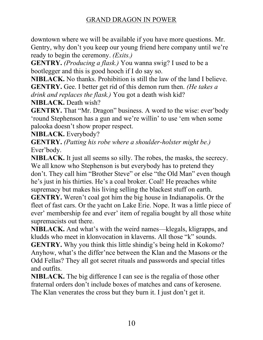downtown where we will be available if you have more questions. Mr. Gentry, why don't you keep our young friend here company until we're ready to begin the ceremony. *(Exits.)*

**GENTRY.** *(Producing a flask.)* You wanna swig? I used to be a bootlegger and this is good hooch if I do say so.

**NIBLACK.** No thanks. Prohibition is still the law of the land I believe. **GENTRY.** Gee. I better get rid of this demon rum then. *(He takes a drink and replaces the flask.)* You got a death wish kid? **NIBLACK.** Death wish?

**GENTRY.** That "Mr. Dragon" business. A word to the wise: ever'body 'round Stephenson has a gun and we're willin' to use 'em when some palooka doesn't show proper respect.

**NIBLACK.** Everybody?

**GENTRY.** *(Patting his robe where a shoulder-holster might be.)*  Ever'body.

**NIBLACK.** It just all seems so silly. The robes, the masks, the secrecy. We all know who Stephenson is but everybody has to pretend they don't. They call him "Brother Steve" or else "the Old Man" even though he's just in his thirties. He's a coal broker. Coal! He preaches white supremacy but makes his living selling the blackest stuff on earth. **GENTRY.** Weren't coal got him the big house in Indianapolis. Or the fleet of fast cars. Or the yacht on Lake Erie. Nope. It was a little piece of ever' membership fee and ever' item of regalia bought by all those white

supremacists out there.

**NIBLACK.** And what's with the weird names—klegals, kligrapps, and kludds who meet in klonvocation in klaverns. All those "k" sounds. **GENTRY.** Why you think this little shindig's being held in Kokomo? Anyhow, what's the differ'nce between the Klan and the Masons or the Odd Fellas? They all got secret rituals and passwords and special titles and outfits.

**NIBLACK.** The big difference I can see is the regalia of those other fraternal orders don't include boxes of matches and cans of kerosene. The Klan venerates the cross but they burn it. I just don't get it.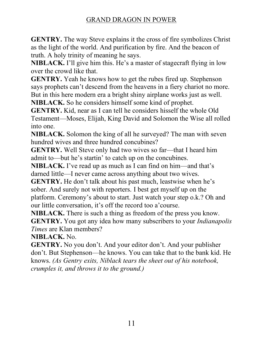**GENTRY.** The way Steve explains it the cross of fire symbolizes Christ as the light of the world. And purification by fire. And the beacon of truth. A holy trinity of meaning he says.

**NIBLACK.** I'll give him this. He's a master of stagecraft flying in low over the crowd like that.

**GENTRY.** Yeah he knows how to get the rubes fired up. Stephenson says prophets can't descend from the heavens in a fiery chariot no more. But in this here modern era a bright shiny airplane works just as well.

**NIBLACK.** So he considers himself some kind of prophet.

**GENTRY.** Kid, near as I can tell he considers hisself the whole Old Testament—Moses, Elijah, King David and Solomon the Wise all rolled into one.

**NIBLACK.** Solomon the king of all he surveyed? The man with seven hundred wives and three hundred concubines?

**GENTRY.** Well Steve only had two wives so far—that I heard him admit to—but he's startin' to catch up on the concubines.

NIBLACK. I've read up as much as I can find on him—and that's darned little—I never came across anything about two wives.

**GENTRY.** He don't talk about his past much, leastwise when he's sober. And surely not with reporters. I best get myself up on the platform. Ceremony's about to start. Just watch your step o.k.? Oh and our little conversation, it's off the record too a'course.

**NIBLACK.** There is such a thing as freedom of the press you know. **GENTRY.** You got any idea how many subscribers to your *Indianapolis Times* are Klan members?

**NIBLACK.** No.

**GENTRY.** No you don't. And your editor don't. And your publisher don't. But Stephenson—he knows. You can take that to the bank kid. He knows. *(As Gentry exits, Niblack tears the sheet out of his notebook, crumples it, and throws it to the ground.)*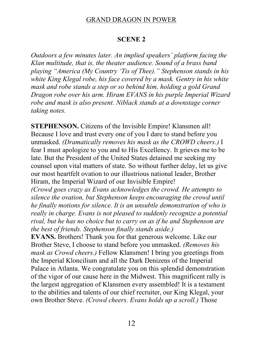#### **SCENE 2**

*Outdoors a few minutes later. An implied speakers' platform facing the Klan multitude, that is, the theater audience. Sound of a brass band playing "America (My Country 'Tis of Thee)." Stephenson stands in his white King Klegal robe, his face covered by a mask. Gentry in his white mask and robe stands a step or so behind him, holding a gold Grand Dragon robe over his arm. Hiram EVANS in his purple Imperial Wizard robe and mask is also present. Niblack stands at a downstage corner taking notes.*

**STEPHENSON.** Citizens of the Invisible Empire! Klansmen all! Because I love and trust every one of you I dare to stand before you unmasked. *(Dramatically removes his mask as the CROWD cheers.)* I fear I must apologize to you and to His Excellency. It grieves me to be late. But the President of the United States detained me seeking my counsel upon vital matters of state. So without further delay, let us give our most heartfelt ovation to our illustrious national leader, Brother Hiram, the Imperial Wizard of our Invisible Empire!

*(Crowd goes crazy as Evans acknowledges the crowd. He attempts to silence the ovation, but Stephenson keeps encouraging the crowd until he finally motions for silence. It is an unsubtle demonstration of who is really in charge. Evans is not pleased to suddenly recognize a potential rival, but he has no choice but to carry on as if he and Stephenson are the best of friends. Stephenson finally stands aside.)*

**EVANS.** Brothers! Thank you for that generous welcome. Like our Brother Steve, I choose to stand before you unmasked. *(Removes his mask as Crowd cheers.)* Fellow Klansmen! I bring you greetings from the Imperial Kloncilium and all the Dark Denizens of the Imperial Palace in Atlanta. We congratulate you on this splendid demonstration of the vigor of our cause here in the Midwest. This magnificent rally is the largest aggregation of Klansmen every assembled! It is a testament to the abilities and talents of our chief recruiter, our King Klegal, your own Brother Steve. *(Crowd cheers. Evans holds up a scroll.)* Those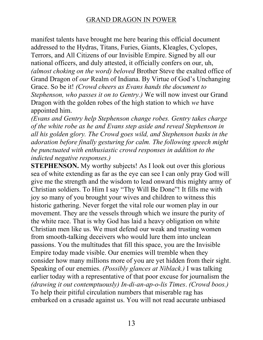manifest talents have brought me here bearing this official document addressed to the Hydras, Titans, Furies, Giants, Kleagles, Cyclopes, Terrors, and All Citizens of our Invisible Empire. Signed by all our national officers, and duly attested, it officially confers on our, uh, *(almost choking on the word) beloved* Brother Steve the exalted office of Grand Dragon of *our* Realm of Indiana. By Virtue of God's Unchanging Grace. So be it! *(Crowd cheers as Evans hands the document to Stephenson, who passes it on to Gentry.)* We will now invest our Grand Dragon with the golden robes of the high station to which *we* have appointed him.

*(Evans and Gentry help Stephenson change robes. Gentry takes charge of the white robe as he and Evans step aside and reveal Stephenson in all his golden glory. The Crowd goes wild, and Stephenson basks in the adoration before finally gesturing for calm. The following speech might be punctuated with enthusiastic crowd responses in addition to the indicted negative responses.)*

**STEPHENSON.** My worthy subjects! As I look out over this glorious sea of white extending as far as the eye can see I can only pray God will give me the strength and the wisdom to lead onward this mighty army of Christian soldiers. To Him I say "Thy Will Be Done"! It fills me with joy so many of you brought your wives and children to witness this historic gathering. Never forget the vital role our women play in our movement. They are the vessels through which we insure the purity of the white race. That is why God has laid a heavy obligation on white Christian men like us. We must defend our weak and trusting women from smooth-talking deceivers who would lure them into unclean passions. You the multitudes that fill this space, you are the Invisible Empire today made visible. Our enemies will tremble when they consider how many millions more of you are yet hidden from their sight. Speaking of our enemies. *(Possibly glances at Niblack.)* I was talking earlier today with a representative of that poor excuse for journalism the *(drawing it out contemptuously) In-di-an-ap-o-lis Times*. *(Crowd boos.)*  To help their pitiful circulation numbers that miserable rag has embarked on a crusade against us. You will not read accurate unbiased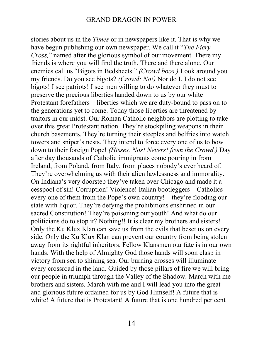stories about us in the *Times* or in newspapers like it. That is why we have begun publishing our own newspaper. We call it "*The Fiery Cross,*" named after the glorious symbol of our movement. There my friends is where you will find the truth. There and there alone. Our enemies call us "Bigots in Bedsheets." *(Crowd boos.)* Look around you my friends. Do you see bigots? *(Crowd: No!)* Nor do I. I do not see bigots! I see patriots! I see men willing to do whatever they must to preserve the precious liberties handed down to us by our white Protestant forefathers—liberties which we are duty-bound to pass on to the generations yet to come. Today those liberties are threatened by traitors in our midst. Our Roman Catholic neighbors are plotting to take over this great Protestant nation. They're stockpiling weapons in their church basements. They're turning their steeples and belfries into watch towers and sniper's nests. They intend to force every one of us to bow down to their foreign Pope! *(Hisses. Nos! Nevers! from the Crowd.)* Day after day thousands of Catholic immigrants come pouring in from Ireland, from Poland, from Italy, from places nobody's ever heard of. They're overwhelming us with their alien lawlessness and immorality. On Indiana's very doorstep they've taken over Chicago and made it a cesspool of sin! Corruption! Violence! Italian bootleggers—Catholics every one of them from the Pope's own country!—they're flooding our state with liquor. They're defying the prohibitions enshrined in our sacred Constitution! They're poisoning our youth! And what do our politicians do to stop it? Nothing!! It is clear my brothers and sisters! Only the Ku Klux Klan can save us from the evils that beset us on every side. Only the Ku Klux Klan can prevent our country from being stolen away from its rightful inheritors. Fellow Klansmen our fate is in our own hands. With the help of Almighty God those hands will soon clasp in victory from sea to shining sea. Our burning crosses will illuminate every crossroad in the land. Guided by those pillars of fire we will bring our people in triumph through the Valley of the Shadow. March with me brothers and sisters. March with me and I will lead you into the great and glorious future ordained for us by God Himself! A future that is white! A future that is Protestant! A future that is one hundred per cent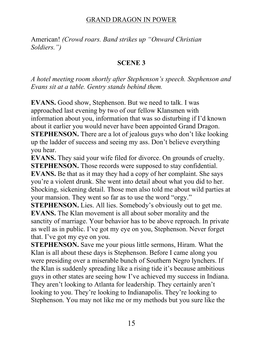American! *(Crowd roars. Band strikes up "Onward Christian Soldiers.*")

#### **SCENE 3**

*A* hotel meeting room shortly after Stephenson's speech. Stephenson and *Evans sit at a table. Gentry stands behind them.* 

**EVANS.** Good show, Stephenson. But we need to talk. I was approached last evening by two of our fellow Klansmen with information about you, information that was so disturbing if I'd known about it earlier you would never have been appointed Grand Dragon. **STEPHENSON.** There are a lot of jealous guys who don't like looking up the ladder of success and seeing my ass. Don't believe everything you hear.

**EVANS.** They said your wife filed for divorce. On grounds of cruelty. **STEPHENSON.** Those records were supposed to stay confidential. **EVANS.** Be that as it may they had a copy of her complaint. She says you're a violent drunk. She went into detail about what you did to her. Shocking, sickening detail. Those men also told me about wild parties at your mansion. They went so far as to use the word "orgy."

**STEPHENSON.** Lies. All lies. Somebody's obviously out to get me. **EVANS.** The Klan movement is all about sober morality and the sanctity of marriage. Your behavior has to be above reproach. In private as well as in public. I've got my eye on you, Stephenson. Never forget that. I've got my eye on you.

**STEPHENSON.** Save me your pious little sermons, Hiram. What the Klan is all about these days is Stephenson. Before I came along you were presiding over a miserable bunch of Southern Negro lynchers. If the Klan is suddenly spreading like a rising tide it's because ambitious guys in other states are seeing how I've achieved my success in Indiana. They aren't looking to Atlanta for leadership. They certainly aren't looking to you. They're looking to Indianapolis. They're looking to Stephenson. You may not like me or my methods but you sure like the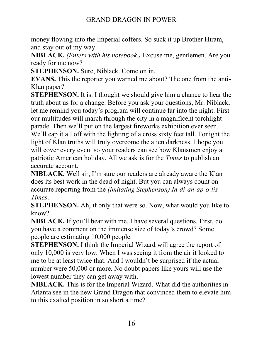money flowing into the Imperial coffers. So suck it up Brother Hiram, and stay out of my way.

**NIBLACK.** *(Enters with his notebook.)* Excuse me, gentlemen. Are you ready for me now?

**STEPHENSON.** Sure, Niblack. Come on in.

**EVANS.** This the reporter you warned me about? The one from the anti-Klan paper?

**STEPHENSON.** It is. I thought we should give him a chance to hear the truth about us for a change. Before you ask your questions, Mr. Niblack, Let me remind you today's program will continue far into the night. First our multitudes will march through the city in a magnificent torchlight parade. Then we'll put on the largest fireworks exhibition ever seen. We'll cap it all off with the lighting of a cross sixty feet tall. Tonight the light of Klan truths will truly overcome the alien darkness. I hope you will cover every event so your readers can see how Klansmen enjoy a patriotic American holiday. All we ask is for the *Times* to publish an accurate account.

**NIBLACK.** Well sir, I'm sure our readers are already aware the Klan does its best work in the dead of night. But you can always count on accurate reporting from the *(imitating Stephenson) In-di-an-ap-o-lis Times*.

**STEPHENSON.** Ah, if only that were so. Now, what would you like to know?

**NIBLACK.** If you'll bear with me, I have several questions. First, do you have a comment on the immense size of today's crowd? Some people are estimating 10,000 people.

**STEPHENSON.** I think the Imperial Wizard will agree the report of only 10,000 is very low. When I was seeing it from the air it looked to me to be at least twice that. And I wouldn't be surprised if the actual number were 50,000 or more. No doubt papers like yours will use the lowest number they can get away with.

**NIBLACK.** This is for the Imperial Wizard. What did the authorities in Atlanta see in the new Grand Dragon that convinced them to elevate him to this exalted position in so short a time?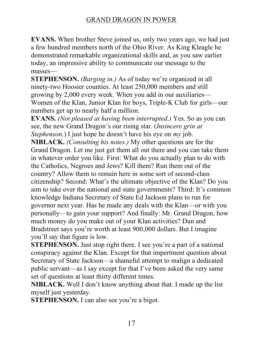**EVANS.** When brother Steve joined us, only two years ago, we had just a few hundred members north of the Ohio River. As King Kleagle he demonstrated remarkable organizational skills and, as you saw earlier today, an impressive ability to communicate our message to the masses-

**STEPHENSON.** *(Barging in.)* As of today we're organized in all ninety-two Hoosier counties. At least 250,000 members and still growing by  $2,000$  every week. When you add in our auxiliaries— Women of the Klan, Junior Klan for boys, Triple-K Club for girls—our numbers get up to nearly half a million.

**EVANS.** *(Not pleased at having been interrupted.)* Yes. So as you can see, the new Grand Dragon's our rising star. *(Insincere grin at Stephenson*.) I just hope he doesn't have his eye on *my* job.

**NIBLACK.** *(Consulting his notes.)* My other questions are for the Grand Dragon. Let me just get them all out there and you can take them in whatever order you like. First: What do you actually plan to do with the Catholics, Negroes and Jews? Kill them? Run them out of the country? Allow them to remain here in some sort of second-class citizenship? Second: What's the ultimate objective of the Klan? Do you aim to take over the national and state governments? Third: It's common knowledge Indiana Secretary of State Ed Jackson plans to run for governor next year. Has he made any deals with the Klan—or with you personally—to gain your support? And finally: Mr. Grand Dragon, how much money do you make out of your Klan activities? Dun and Bradstreet says you're worth at least 900,000 dollars. But I imagine you'll say that figure is low.

**STEPHENSON.** Just stop right there. I see you're a part of a national conspiracy against the Klan. Except for that impertinent question about Secretary of State Jackson—a shameful attempt to malign a dedicated public servant—as I say except for that I've been asked the very same set of questions at least thirty different times.

**NIBLACK.** Well I don't know anything about that. I made up the list myself just yesterday.

**STEPHENSON.** I can also see you're a bigot.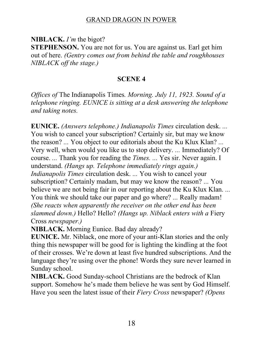**NIBLACK.** *I'm* the bigot?

**STEPHENSON.** You are not for us. You are against us. Earl get him out of here. *(Gentry comes out from behind the table and roughhouses NIBLACK off the stage.)*

#### **SCENE 4**

*Offices of* The Indianapolis Times*. Morning. July 11, 1923. Sound of a telephone ringing. EUNICE is sitting at a desk answering the telephone and taking notes.*

**EUNICE.** *(Answers telephone.) Indianapolis Times* circulation desk. *...* You wish to cancel your subscription? Certainly sir, but may we know the reason? *...* You object to our editorials about the Ku Klux Klan? *...* Very well, when would you like us to stop delivery. *...* Immediately? Of course. *...* Thank you for reading the *Times. ...* Yes sir. Never again. I understand. *(Hangs up. Telephone immediately rings again.) Indianapolis Times* circulation desk. *...* You wish to cancel your subscription? Certainly madam, but may we know the reason? *...* You believe we are not being fair in our reporting about the Ku Klux Klan. *...* You think we should take our paper and go where? *...* Really madam! *(She reacts when apparently the receiver on the other end has been slammed down.)* Hello? Hello? *(Hangs up. Niblack enters with a* Fiery Cross *newspaper.)*

**NIBLACK.** Morning Eunice. Bad day already?

**EUNICE.** Mr. Niblack, one more of your anti-Klan stories and the only thing this newspaper will be good for is lighting the kindling at the foot of their crosses. We're down at least five hundred subscriptions. And the language they're using over the phone! Words they sure never learned in Sunday school.

**NIBLACK.** Good Sunday-school Christians are the bedrock of Klan support. Somehow he's made them believe he was sent by God Himself. Have you seen the latest issue of their *Fiery Cross* newspaper? *(Opens*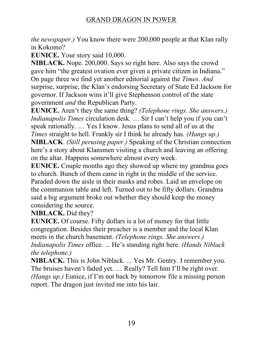*the newspaper.)* You know there were 200,000 people at that Klan rally in Kokomo?

**EUNICE.** Your story said 10,000.

**NIBLACK.** Nope. 200,000. Says so right here. Also says the crowd gave him "the greatest ovation ever given a private citizen in Indiana." On page three we find yet another editorial against the *Times*. *And* surprise, surprise, the Klan's endorsing Secretary of State Ed Jackson for governor. If Jackson wins it'll give Stephenson control of the state government *and* the Republican Party.

**EUNICE.** Aren't they the same thing? *(Telephone rings. She answers.) Indianapolis Times* circulation desk. ... Sir I can't help you if you can't speak rationally. ... Yes I know. Jesus plans to send all of us at the *Times* straight to hell. Frankly sir I think he already has. *(Hangs up.)*

**NIBLACK**. *(Still perusing paper.)* Speaking of the Christian connection here's a story about Klansmen visiting a church and leaving an offering on the altar. Happens somewhere almost every week.

**EUNICE.** Couple months ago they showed up where my grandma goes to church. Bunch of them came in right in the middle of the service. Paraded down the aisle in their masks and robes. Laid an envelope on the communion table and left. Turned out to be fifty dollars. Grandma said a big argument broke out whether they should keep the money considering the source.

**NIBLACK.** Did they?

**EUNICE.** Of course. Fifty dollars is a lot of money for that little congregation. Besides their preacher is a member and the local Klan meets in the church basement. *(Telephone rings. She answers.) Indianapolis Times* office. ... He's standing right here. (Hands Niblack  $\blacksquare$ *the telephone.)*

**NIBLACK.** This is John Niblack. *...* Yes Mr. Gentry. I remember you. The bruises haven't faded yet. ... Really? Tell him I'll be right over. *(Hangs up.)* Eunice, if I'm not back by tomorrow file a missing person report. The dragon just invited me into his lair.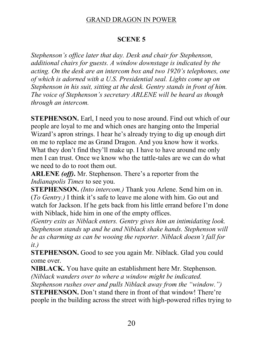# **SCENE 5**

*Stephenson's office later that day. Desk and chair for Stephenson, additional chairs for guests. A window downstage is indicated by the acting. On the desk are an intercom box and two 1920's telephones, one of which is adorned with a U.S. Presidential seal. Lights come up on Stephenson in his suit, sitting at the desk. Gentry stands in front of him. The voice of Stephenson's secretary ARLENE will be heard as though through an intercom.*

**STEPHENSON.** Earl, I need you to nose around. Find out which of our people are loyal to me and which ones are hanging onto the Imperial Wizard's apron strings. I hear he's already trying to dig up enough dirt on me to replace me as Grand Dragon. And you know how it works. What they don't find they'll make up. I have to have around me only men I can trust. Once we know who the tattle-tales are we can do what we need to do to root them out.

**ARLENE** (off). Mr. Stephenson. There's a reporter from the *Indianapolis Times* to see you.

**STEPHENSON.** *(Into intercom.)* Thank you Arlene. Send him on in. (*To Gentry.*) I think it's safe to leave me alone with him. Go out and watch for Jackson. If he gets back from his little errand before I'm done with Niblack, hide him in one of the empty offices.

*(Gentry exits as Niblack enters. Gentry gives him an intimidating look. Stephenson stands up and he and Niblack shake hands. Stephenson will be as charming as can be wooing the reporter. Niblack doesn't fall for it.)*

**STEPHENSON.** Good to see you again Mr. Niblack. Glad you could come over.

**NIBLACK.** You have quite an establishment here Mr. Stephenson. *(Niblack wanders over to where a window might be indicated.*

*Stephenson rushes over and pulls Niblack away from the "window."*) **STEPHENSON.** Don't stand there in front of that window! There're

people in the building across the street with high-powered rifles trying to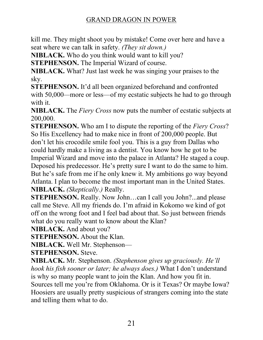kill me. They might shoot you by mistake! Come over here and have a seat where we can talk in safety. *(They sit down.)*

**NIBLACK.** Who do you think would want to kill you?

**STEPHENSON.** The Imperial Wizard of course.

**NIBLACK.** What? Just last week he was singing your praises to the sky.

**STEPHENSON.** It'd all been organized beforehand and confronted with 50,000—more or less—of my ecstatic subjects he had to go through with it.

**NIBLACK.** The *Fiery Cross* now puts the number of ecstatic subjects at 200,000.

**STEPHENSON.** Who am I to dispute the reporting of the *Fiery Cross*? So His Excellency had to make nice in front of 200,000 people. But don't let his crocodile smile fool you. This is a guy from Dallas who could hardly make a living as a dentist. You know how he got to be Imperial Wizard and move into the palace in Atlanta? He staged a coup. Deposed his predecessor. He's pretty sure I want to do the same to him. But he's safe from me if he only knew it. My ambitions go way beyond Atlanta. I plan to become the most important man in the United States. **NIBLACK.** *(Skeptically.)* Really.

**STEPHENSON.** Really. Now John...can I call you John?...and please call me Steve. All my friends do. I'm afraid in Kokomo we kind of got off on the wrong foot and I feel bad about that. So just between friends what do you really want to know about the Klan?

**NIBLACK.** And about you?

**STEPHENSON.** About the Klan.

**NIBLACK.** Well Mr. Stephenson-

**STEPHENSON.** Steve.

**NIBLACK.** Mr. Stephenson. *(Stephenson gives up graciously. He'll hook his fish sooner or later; he always does.*) What I don't understand is why so many people want to join the Klan. And how you fit in. Sources tell me you're from Oklahoma. Or is it Texas? Or maybe Iowa? Hoosiers are usually pretty suspicious of strangers coming into the state and telling them what to do.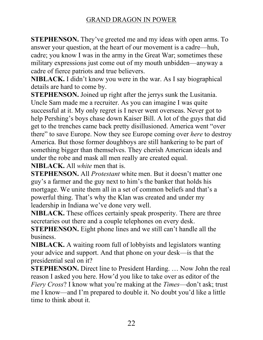**STEPHENSON.** They've greeted me and my ideas with open arms. To answer your question, at the heart of our movement is a cadre—huh, cadre; you know I was in the army in the Great War; sometimes these military expressions just come out of my mouth unbidden—anyway a cadre of fierce patriots and true believers.

**NIBLACK.** I didn't know you were in the war. As I say biographical details are hard to come by.

**STEPHENSON.** Joined up right after the jerrys sunk the Lusitania. Uncle Sam made me a recruiter. As you can imagine I was quite successful at it. My only regret is I never went overseas. Never got to help Pershing's boys chase down Kaiser Bill. A lot of the guys that did get to the trenches came back pretty disillusioned. America went "over there" to save Europe. Now they see Europe coming over *here* to destroy America. But those former doughboys are still hankering to be part of something bigger than themselves. They cherish American ideals and under the robe and mask all men really are created equal.

**NIBLACK.** All *white* men that is.

**STEPHENSON.** All *Protestant* white men. But it doesn't matter one guy's a farmer and the guy next to him's the banker that holds his mortgage. We unite them all in a set of common beliefs and that's a powerful thing. That's why the Klan was created and under my leadership in Indiana we've done very well.

**NIBLACK.** These offices certainly speak prosperity. There are three secretaries out there and a couple telephones on every desk.

**STEPHENSON.** Eight phone lines and we still can't handle all the business.

**NIBLACK.** A waiting room full of lobbyists and legislators wanting your advice and support. And that phone on your desk—is that the presidential seal on it?

**STEPHENSON.** Direct line to President Harding. ... Now John the real reason I asked you here. How'd you like to take over as editor of the *Fiery Cross*? I know what you're making at the *Times*—don't ask; trust me I know—and I'm prepared to double it. No doubt you'd like a little time to think about it.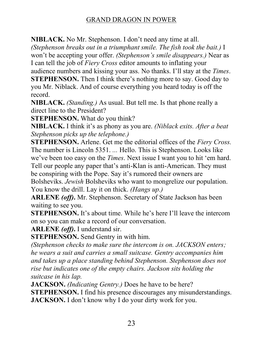**NIBLACK.** No Mr. Stephenson. I don't need any time at all.

*(Stephenson breaks out in a triumphant smile. The fish took the bait.)* I won't be accepting your offer. (Stephenson's smile disappears.) Near as I can tell the job of *Fiery Cross* editor amounts to inflating your

audience numbers and kissing your ass. No thanks. I'll stay at the *Times*.

**STEPHENSON.** Then I think there's nothing more to say. Good day to you Mr. Niblack. And of course everything you heard today is off the record.

**NIBLACK.** *(Standing.)* As usual. But tell me. Is that phone really a direct line to the President?

**STEPHENSON.** What do you think?

**NIBLACK.** I think it's as phony as you are. (Niblack exits. After a beat *Stephenson picks up the telephone.)*

**STEPHENSON.** Arlene. Get me the editorial offices of the *Fiery Cross.*  The number is Lincoln 5351. *...* Hello. This is Stephenson. Looks like we've been too easy on the *Times*. Next issue I want you to hit 'em hard. Tell our people any paper that's anti-Klan is anti-American. They must be conspiring with the Pope. Say it's rumored their owners are Bolsheviks. *Jewish* Bolsheviks who want to mongrelize our population. You know the drill. Lay it on thick. *(Hangs up.)*

**ARLENE** *(off)***.** Mr. Stephenson. Secretary of State Jackson has been waiting to see you.

**STEPHENSON.** It's about time. While he's here I'll leave the intercom on so you can make a record of our conversation.

**ARLENE** *(off)***.** I understand sir.

**STEPHENSON.** Send Gentry in with him.

*(Stephenson checks to make sure the intercom is on. JACKSON enters; he wears a suit and carries a small suitcase. Gentry accompanies him and takes up a place standing behind Stephenson. Stephenson does not rise but indicates one of the empty chairs. Jackson sits holding the suitcase in his lap.*

**JACKSON.** *(Indicating Gentry.)* Does he have to be here?

**STEPHENSON.** I find his presence discourages any misunderstandings. **JACKSON.** I don't know why I do your dirty work for you.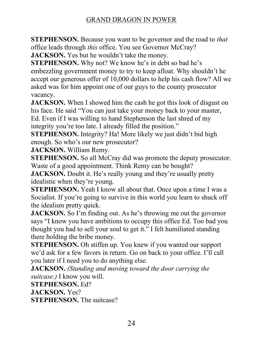**STEPHENSON.** Because you want to be governor and the road to *that* office leads through *this* office. You see Governor McCray?

**JACKSON.** Yes but he wouldn't take the money.

**STEPHENSON.** Why not? We know he's in debt so bad he's embezzling government money to try to keep afloat. Why shouldn't he accept our generous offer of 10,000 dollars to help his cash flow? All we asked was for him appoint one of our guys to the county prosecutor vacancy.

**JACKSON.** When I showed him the cash he got this look of disgust on his face. He said "You can just take your money back to your master, Ed. Even if I was willing to hand Stephenson the last shred of my integrity you're too late. I already filled the position."

**STEPHENSON.** Integrity? Ha! More likely we just didn't bid high enough. So who's our new prosecutor?

**JACKSON.** William Remy.

**STEPHENSON.** So all McCray did was promote the deputy prosecutor. Waste of a good appointment. Think Remy can be bought?

**JACKSON.** Doubt it. He's really young and they're usually pretty idealistic when they're young.

**STEPHENSON.** Yeah I know all about that. Once upon a time I was a Socialist. If you're going to survive in this world you learn to shuck off the idealism pretty quick.

**JACKSON.** So I'm finding out. As he's throwing me out the governor says "I know you have ambitions to occupy this office Ed. Too bad you thought you had to sell your soul to get it." I felt humiliated standing there holding the bribe money.

**STEPHENSON.** Oh stiffen up. You knew if you wanted our support we'd ask for a few favors in return. Go on back to your office. I'll call you later if I need you to do anything else.

**JACKSON.** *(Standing and moving toward the door carrying the suitcase.)* I know you will.

**STEPHENSON.** Ed?

**JACKSON.** Yes?

**STEPHENSON.** The suitcase?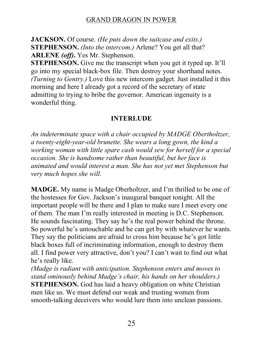**JACKSON.** Of course. *(He puts down the suitcase and exits.)* **STEPHENSON.** *(Into the intercom.)* Arlene? You get all that? **ARLENE** *(off)***.** Yes Mr. Stephenson.

**STEPHENSON.** Give me the transcript when you get it typed up. It'll go into my special black-box file. Then destroy your shorthand notes. *(Turning to Gentry.)* Love this new intercom gadget. Just installed it this morning and here I already got a record of the secretary of state admitting to trying to bribe the governor. American ingenuity is a wonderful thing.

# **INTERLUDE**

*An indeterminate space with a chair occupied by MADGE Obertholtzer, a twenty-eight-year-old brunette. She wears a long gown, the kind a working woman with little spare cash would sew for herself for a special occasion. She is handsome rather than beautiful, but her face is animated and would interest a man. She has not yet met Stephenson but very much hopes she will.* 

**MADGE.** My name is Madge Oberholtzer, and I'm thrilled to be one of the hostesses for Gov. Jackson's inaugural banquet tonight. All the important people will be there and I plan to make sure I meet every one of them. The man I'm really interested in meeting is D.C. Stephenson. He sounds fascinating. They say he's the real power behind the throne. So powerful he's untouchable and he can get by with whatever he wants. They say the politicians are afraid to cross him because he's got little black boxes full of incriminating information, enough to destroy them all. I find power very attractive, don't you? I can't wait to find out what he's really like.

*(Madge is radiant with anticipation. Stephenson enters and moves to stand ominously behind Madge's chair, his hands on her shoulders.)* **STEPHENSON.** God has laid a heavy obligation on white Christian men like us. We must defend our weak and trusting women from smooth-talking deceivers who would lure them into unclean passions.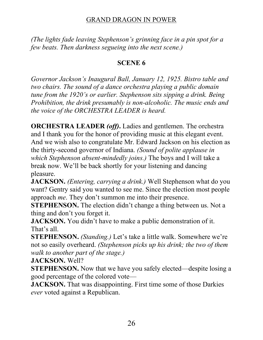*(The lights fade leaving Stephenson's grinning face in a pin spot for a few beats. Then darkness segueing into the next scene.)*

#### **SCENE 6**

*Governor Jackson's Inaugural Ball, January 12, 1925. Bistro table and two chairs. The sound of a dance orchestra playing a public domain tune from the 1920's or earlier. Stephenson sits sipping a drink. Being Prohibition, the drink presumably is non-alcoholic. The music ends and the voice of the ORCHESTRA LEADER is heard.*

**ORCHESTRA LEADER** *(off)***.** Ladies and gentlemen. The orchestra and I thank you for the honor of providing music at this elegant event. And we wish also to congratulate Mr. Edward Jackson on his election as the thirty-second governor of Indiana. *(Sound of polite applause in which Stephenson absent-mindedly joins.)* The boys and I will take a break now. We'll be back shortly for your listening and dancing pleasure.

**JACKSON.** *(Entering, carrying a drink.)* Well Stephenson what do you want? Gentry said you wanted to see me. Since the election most people approach *me*. They don't summon me into their presence.

**STEPHENSON.** The election didn't change a thing between us. Not a thing and don't you forget it.

**JACKSON.** You didn't have to make a public demonstration of it. That's all.

**STEPHENSON.** *(Standing.)* Let's take a little walk. Somewhere we're not so easily overheard. *(Stephenson picks up his drink; the two of them walk to another part of the stage.)*

**JACKSON.** Well?

**STEPHENSON.** Now that we have you safely elected—despite losing a good percentage of the colored vote—

**JACKSON.** That was disappointing. First time some of those Darkies *ever* voted against a Republican.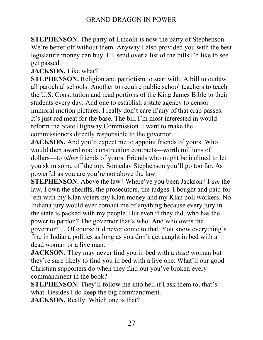**STEPHENSON.** The party of Lincoln is now the party of Stephenson. We're better off without them. Anyway I also provided you with the best legislature money can buy. I'll send over a list of the bills I'd like to see get passed.

**JACKSON.** Like what?

**STEPHENSON.** Religion and patriotism to start with. A bill to outlaw all parochial schools. Another to require public school teachers to teach the U.S. Constitution and read portions of the King James Bible to their students every day. And one to establish a state agency to censor immoral motion pictures. I really don't care if any of that crap passes. It's just red meat for the base. The bill I'm most interested in would reform the State Highway Commission. I want to make the commissioners directly responsible to the governor.

**JACKSON.** And you'd expect me to appoint friends of yours. Who would then award road construction contracts—worth millions of dollars—to *other* friends of yours. Friends who might be inclined to let you skim some off the top. Someday Stephenson you'll go too far. As powerful as you are you're not above the law.

**STEPHENSON.** Above the law? Where've you been Jackson? I am the law. I own the sheriffs, the prosecutors, the judges. I bought and paid for 'em with my Klan voters my Klan money and my Klan poll workers. No Indiana jury would ever convict me of anything because every jury in the state is packed with my people. But even if they did, who has the power to pardon? The governor that's who. And who owns the governor? ... Of course it'd never come to that. You know everything's fine in Indiana politics as long as you don't get caught in bed with a dead woman or a live man.

**JACKSON.** They may never find you in bed with a *dead* woman but they're sure likely to find you in bed with a live one. What'll our good Christian supporters do when they find out you've broken every commandment in the book?

**STEPHENSON.** They'll follow me into hell if I ask them to, that's what. Besides I do keep the big commandment.

**JACKSON.** Really. Which one is that?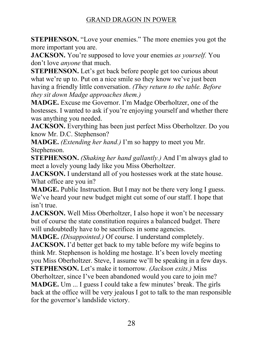**STEPHENSON.** "Love your enemies." The more enemies you got the more important you are.

**JACKSON.** You're supposed to love your enemies as *yourself*. You don't love *anyone* that much.

**STEPHENSON.** Let's get back before people get too curious about what we're up to. Put on a nice smile so they know we've just been having a friendly little conversation. *(They return to the table. Before they sit down Madge approaches them.)*

**MADGE.** Excuse me Governor. I'm Madge Oberholtzer, one of the hostesses. I wanted to ask if you're enjoying yourself and whether there was anything you needed.

**JACKSON.** Everything has been just perfect Miss Oberholtzer. Do you know Mr. D.C. Stephenson?

**MADGE.** *(Extending her hand.)* I'm so happy to meet you Mr. Stephenson.

**STEPHENSON.** *(Shaking her hand gallantly.)* And I'm always glad to meet a lovely young lady like you Miss Oberholtzer.

**JACKSON.** I understand all of you hostesses work at the state house. What office are you in?

**MADGE.** Public Instruction. But I may not be there very long I guess. We've heard your new budget might cut some of our staff. I hope that isn't true.

**JACKSON.** Well Miss Oberholtzer, I also hope it won't be necessary but of course the state constitution requires a balanced budget. There will undoubtedly have to be sacrifices in some agencies.

**MADGE.** *(Disappointed.)* Of course. I understand completely.

**JACKSON.** I'd better get back to my table before my wife begins to think Mr. Stephenson is holding me hostage. It's been lovely meeting you Miss Oberholtzer. Steve, I assume we'll be speaking in a few days.

**STEPHENSON.** Let's make it tomorrow. *(Jackson exits.)* Miss Oberholtzer, since I've been abandoned would you care to join me? **MADGE.** Um ... I guess I could take a few minutes' break. The girls back at the office will be very jealous I got to talk to the man responsible for the governor's landslide victory.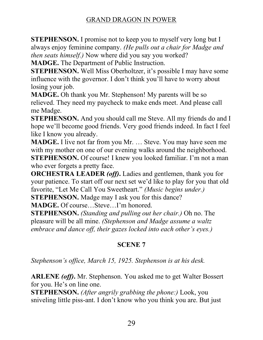**STEPHENSON.** I promise not to keep you to myself very long but I always enjoy feminine company. *(He pulls out a chair for Madge and then seats himself.)* Now where did you say you worked?

**MADGE.** The Department of Public Instruction.

**STEPHENSON.** Well Miss Oberholtzer, it's possible I may have some influence with the governor. I don't think you'll have to worry about losing your job.

**MADGE.** Oh thank you Mr. Stephenson! My parents will be so relieved. They need my paycheck to make ends meet. And please call me Madge.

**STEPHENSON.** And you should call me Steve. All my friends do and I hope we'll become good friends. Very good friends indeed. In fact I feel like I know you already.

**MADGE.** I live not far from you Mr. ... Steve. You may have seen me with my mother on one of our evening walks around the neighborhood. **STEPHENSON.** Of course! I knew you looked familiar. I'm not a man who ever forgets a pretty face.

**ORCHESTRA LEADER** *(off)***.** Ladies and gentlemen, thank you for your patience. To start off our next set we'd like to play for you that old favorite, "Let Me Call You Sweetheart." *(Music begins under.)* **STEPHENSON.** Madge may I ask you for this dance?

**MADGE.** Of course...Steve...I'm honored.

**STEPHENSON.** *(Standing and pulling out her chair.)* Oh no. The pleasure will be all mine. *(Stephenson and Madge assume a waltz embrace and dance off, their gazes locked into each other's eyes.)* 

# **SCENE 7**

*Stephenson's office, March 15, 1925. Stephenson is at his desk.* 

**ARLENE** *(off)***.** Mr. Stephenson. You asked me to get Walter Bossert for you. He's on line one.

**STEPHENSON.** *(After angrily grabbing the phone:)* Look, you sniveling little piss-ant. I don't know who you think you are. But just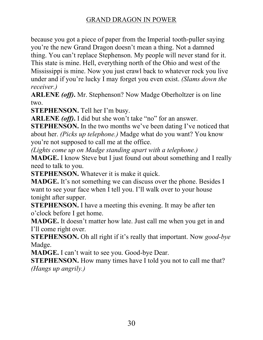because you got a piece of paper from the Imperial tooth-puller saying you're the new Grand Dragon doesn't mean a thing. Not a damned thing. You can't replace Stephenson. My people will never stand for it. This state is mine. Hell, everything north of the Ohio and west of the Mississippi is mine. Now you just crawl back to whatever rock you live under and if you're lucky I may forget you even exist. *(Slams down the receiver.)*

**ARLENE** *(off)***.** Mr. Stephenson? Now Madge Oberholtzer is on line two.

**STEPHENSON.** Tell her I'm busy.

ARLENE (off). I did but she won't take "no" for an answer.

**STEPHENSON.** In the two months we've been dating I've noticed that about her. *(Picks up telephone.)* Madge what do you want? You know you're not supposed to call me at the office.

*(Lights come up on Madge standing apart with a telephone.)*

**MADGE.** I know Steve but I just found out about something and I really need to talk to you.

**STEPHENSON.** Whatever it is make it quick.

**MADGE.** It's not something we can discuss over the phone. Besides I want to see your face when I tell you. I'll walk over to your house tonight after supper.

**STEPHENSON.** I have a meeting this evening. It may be after ten o'clock before I get home.

**MADGE.** It doesn't matter how late. Just call me when you get in and I'll come right over.

**STEPHENSON.** Oh all right if it's really that important. Now *good-bye* Madge.

**MADGE.** I can't wait to see you. Good-bye Dear.

**STEPHENSON.** How many times have I told you not to call me that? *(Hangs up angrily.)*